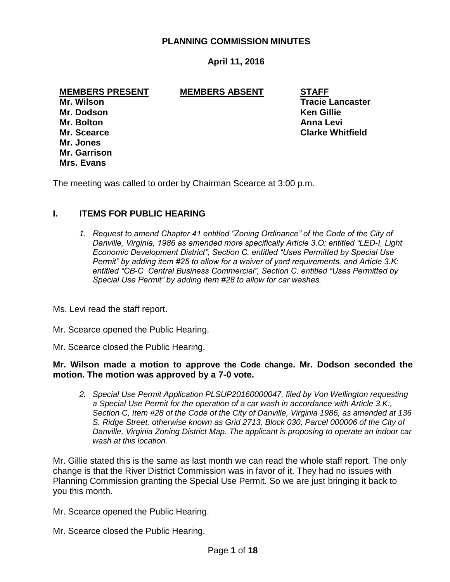## **PLANNING COMMISSION MINUTES**

# **April 11, 2016**

#### **MEMBERS PRESENT MEMBERS ABSENT STAFF**

**Mr. Dodson Ken Gillie Mr. Bolton Anna Levi Mr. Jones Mr. Garrison Mrs. Evans**

**Mr. Wilson Tracie Lancaster Mr. Scearce Clarke Whitfield**

The meeting was called to order by Chairman Scearce at 3:00 p.m.

### **I. ITEMS FOR PUBLIC HEARING**

1. Request to amend Chapter 41 entitled "Zoning Ordinance" of the Code of the City of *Danville, Virginia, 1986 as amended more specifically Article 3.O: entitled "LED-I, Light Economic Development District", Section C. entitled "Uses Permitted by Special Use Permit" by adding item #25 to allow for a waiver of yard requirements, and Article 3.K: entitled "CB-C Central Business Commercial", Section C. entitled "Uses Permitted by Special Use Permit" by adding item #28 to allow for car washes.*

Ms. Levi read the staff report.

Mr. Scearce opened the Public Hearing.

Mr. Scearce closed the Public Hearing.

#### **Mr. Wilson made a motion to approve the Code change. Mr. Dodson seconded the motion. The motion was approved by a 7-0 vote.**

*2. Special Use Permit Application PLSUP20160000047, filed by Von Wellington requesting a Special Use Permit for the operation of a car wash in accordance with Article 3.K:, Section C, Item #28 of the Code of the City of Danville, Virginia 1986, as amended at 136 S. Ridge Street, otherwise known as Grid 2713, Block 030, Parcel 000006 of the City of Danville, Virginia Zoning District Map. The applicant is proposing to operate an indoor car wash at this location.* 

Mr. Gillie stated this is the same as last month we can read the whole staff report. The only change is that the River District Commission was in favor of it. They had no issues with Planning Commission granting the Special Use Permit. So we are just bringing it back to you this month.

Mr. Scearce opened the Public Hearing.

Mr. Scearce closed the Public Hearing.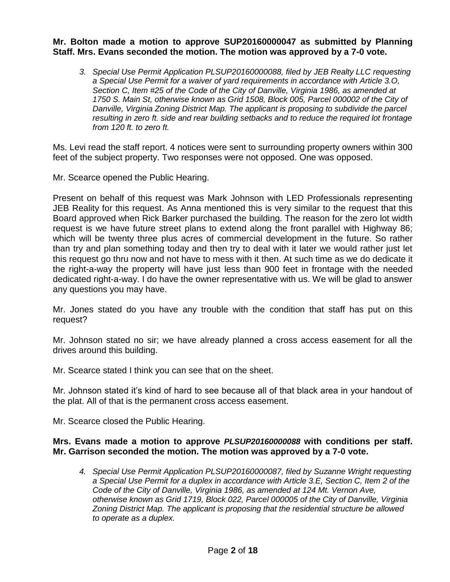## **Mr. Bolton made a motion to approve SUP20160000047 as submitted by Planning Staff. Mrs. Evans seconded the motion. The motion was approved by a 7-0 vote.**

*3. Special Use Permit Application PLSUP20160000088, filed by JEB Realty LLC requesting a Special Use Permit for a waiver of yard requirements in accordance with Article 3.O, Section C, Item #25 of the Code of the City of Danville, Virginia 1986, as amended at 1750 S. Main St, otherwise known as Grid 1508, Block 005, Parcel 000002 of the City of Danville, Virginia Zoning District Map. The applicant is proposing to subdivide the parcel resulting in zero ft. side and rear building setbacks and to reduce the required lot frontage from 120 ft. to zero ft.* 

Ms. Levi read the staff report. 4 notices were sent to surrounding property owners within 300 feet of the subject property. Two responses were not opposed. One was opposed.

Mr. Scearce opened the Public Hearing.

Present on behalf of this request was Mark Johnson with LED Professionals representing JEB Reality for this request. As Anna mentioned this is very similar to the request that this Board approved when Rick Barker purchased the building. The reason for the zero lot width request is we have future street plans to extend along the front parallel with Highway 86; which will be twenty three plus acres of commercial development in the future. So rather than try and plan something today and then try to deal with it later we would rather just let this request go thru now and not have to mess with it then. At such time as we do dedicate it the right-a-way the property will have just less than 900 feet in frontage with the needed dedicated right-a-way. I do have the owner representative with us. We will be glad to answer any questions you may have.

Mr. Jones stated do you have any trouble with the condition that staff has put on this request?

Mr. Johnson stated no sir; we have already planned a cross access easement for all the drives around this building.

Mr. Scearce stated I think you can see that on the sheet.

Mr. Johnson stated it's kind of hard to see because all of that black area in your handout of the plat. All of that is the permanent cross access easement.

Mr. Scearce closed the Public Hearing.

# **Mrs. Evans made a motion to approve** *PLSUP20160000088* **with conditions per staff. Mr. Garrison seconded the motion. The motion was approved by a 7-0 vote.**

*4. Special Use Permit Application PLSUP20160000087, filed by Suzanne Wright requesting a Special Use Permit for a duplex in accordance with Article 3.E, Section C, Item 2 of the Code of the City of Danville, Virginia 1986, as amended at 124 Mt. Vernon Ave, otherwise known as Grid 1719, Block 022, Parcel 000005 of the City of Danville, Virginia Zoning District Map. The applicant is proposing that the residential structure be allowed to operate as a duplex.*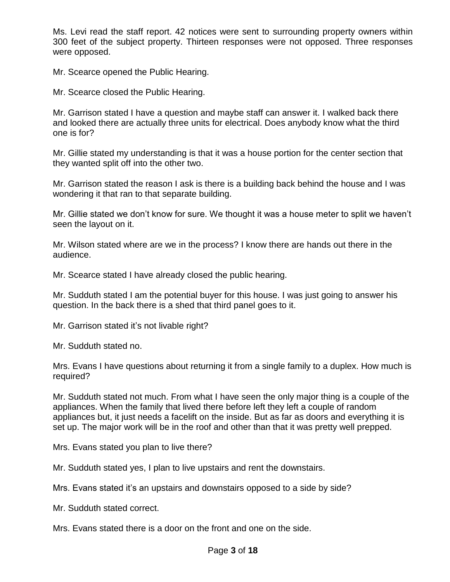Ms. Levi read the staff report. 42 notices were sent to surrounding property owners within 300 feet of the subject property. Thirteen responses were not opposed. Three responses were opposed.

Mr. Scearce opened the Public Hearing.

Mr. Scearce closed the Public Hearing.

Mr. Garrison stated I have a question and maybe staff can answer it. I walked back there and looked there are actually three units for electrical. Does anybody know what the third one is for?

Mr. Gillie stated my understanding is that it was a house portion for the center section that they wanted split off into the other two.

Mr. Garrison stated the reason I ask is there is a building back behind the house and I was wondering it that ran to that separate building.

Mr. Gillie stated we don't know for sure. We thought it was a house meter to split we haven't seen the layout on it.

Mr. Wilson stated where are we in the process? I know there are hands out there in the audience.

Mr. Scearce stated I have already closed the public hearing.

Mr. Sudduth stated I am the potential buyer for this house. I was just going to answer his question. In the back there is a shed that third panel goes to it.

Mr. Garrison stated it's not livable right?

Mr. Sudduth stated no.

Mrs. Evans I have questions about returning it from a single family to a duplex. How much is required?

Mr. Sudduth stated not much. From what I have seen the only major thing is a couple of the appliances. When the family that lived there before left they left a couple of random appliances but, it just needs a facelift on the inside. But as far as doors and everything it is set up. The major work will be in the roof and other than that it was pretty well prepped.

Mrs. Evans stated you plan to live there?

Mr. Sudduth stated yes, I plan to live upstairs and rent the downstairs.

Mrs. Evans stated it's an upstairs and downstairs opposed to a side by side?

Mr. Sudduth stated correct.

Mrs. Evans stated there is a door on the front and one on the side.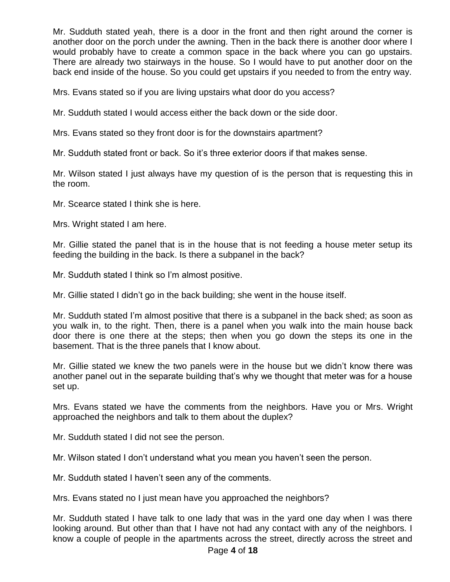Mr. Sudduth stated yeah, there is a door in the front and then right around the corner is another door on the porch under the awning. Then in the back there is another door where I would probably have to create a common space in the back where you can go upstairs. There are already two stairways in the house. So I would have to put another door on the back end inside of the house. So you could get upstairs if you needed to from the entry way.

Mrs. Evans stated so if you are living upstairs what door do you access?

Mr. Sudduth stated I would access either the back down or the side door.

Mrs. Evans stated so they front door is for the downstairs apartment?

Mr. Sudduth stated front or back. So it's three exterior doors if that makes sense.

Mr. Wilson stated I just always have my question of is the person that is requesting this in the room.

Mr. Scearce stated I think she is here.

Mrs. Wright stated I am here.

Mr. Gillie stated the panel that is in the house that is not feeding a house meter setup its feeding the building in the back. Is there a subpanel in the back?

Mr. Sudduth stated I think so I'm almost positive.

Mr. Gillie stated I didn't go in the back building; she went in the house itself.

Mr. Sudduth stated I'm almost positive that there is a subpanel in the back shed; as soon as you walk in, to the right. Then, there is a panel when you walk into the main house back door there is one there at the steps; then when you go down the steps its one in the basement. That is the three panels that I know about.

Mr. Gillie stated we knew the two panels were in the house but we didn't know there was another panel out in the separate building that's why we thought that meter was for a house set up.

Mrs. Evans stated we have the comments from the neighbors. Have you or Mrs. Wright approached the neighbors and talk to them about the duplex?

Mr. Sudduth stated I did not see the person.

Mr. Wilson stated I don't understand what you mean you haven't seen the person.

Mr. Sudduth stated I haven't seen any of the comments.

Mrs. Evans stated no I just mean have you approached the neighbors?

Mr. Sudduth stated I have talk to one lady that was in the yard one day when I was there looking around. But other than that I have not had any contact with any of the neighbors. I know a couple of people in the apartments across the street, directly across the street and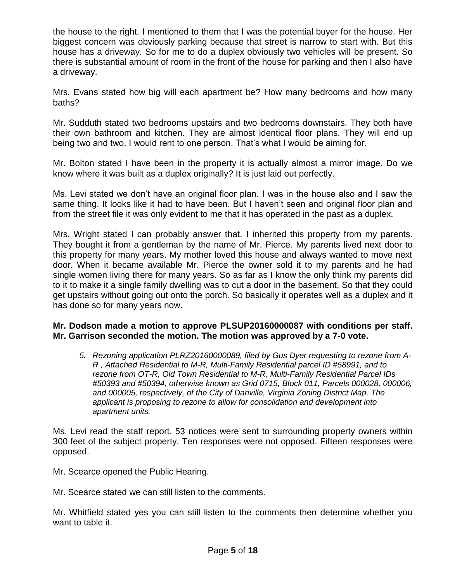the house to the right. I mentioned to them that I was the potential buyer for the house. Her biggest concern was obviously parking because that street is narrow to start with. But this house has a driveway. So for me to do a duplex obviously two vehicles will be present. So there is substantial amount of room in the front of the house for parking and then I also have a driveway.

Mrs. Evans stated how big will each apartment be? How many bedrooms and how many baths?

Mr. Sudduth stated two bedrooms upstairs and two bedrooms downstairs. They both have their own bathroom and kitchen. They are almost identical floor plans. They will end up being two and two. I would rent to one person. That's what I would be aiming for.

Mr. Bolton stated I have been in the property it is actually almost a mirror image. Do we know where it was built as a duplex originally? It is just laid out perfectly.

Ms. Levi stated we don't have an original floor plan. I was in the house also and I saw the same thing. It looks like it had to have been. But I haven't seen and original floor plan and from the street file it was only evident to me that it has operated in the past as a duplex.

Mrs. Wright stated I can probably answer that. I inherited this property from my parents. They bought it from a gentleman by the name of Mr. Pierce. My parents lived next door to this property for many years. My mother loved this house and always wanted to move next door. When it became available Mr. Pierce the owner sold it to my parents and he had single women living there for many years. So as far as I know the only think my parents did to it to make it a single family dwelling was to cut a door in the basement. So that they could get upstairs without going out onto the porch. So basically it operates well as a duplex and it has done so for many years now.

# **Mr. Dodson made a motion to approve PLSUP20160000087 with conditions per staff. Mr. Garrison seconded the motion. The motion was approved by a 7-0 vote.**

*5. Rezoning application PLRZ20160000089, filed by Gus Dyer requesting to rezone from A-R , Attached Residential to M-R, Multi-Family Residential parcel ID #58991, and to rezone from OT-R, Old Town Residential to M-R, Multi-Family Residential Parcel IDs #50393 and #50394, otherwise known as Grid 0715, Block 011, Parcels 000028, 000006, and 000005, respectively, of the City of Danville, Virginia Zoning District Map. The applicant is proposing to rezone to allow for consolidation and development into apartment units.* 

Ms. Levi read the staff report. 53 notices were sent to surrounding property owners within 300 feet of the subject property. Ten responses were not opposed. Fifteen responses were opposed.

Mr. Scearce opened the Public Hearing.

Mr. Scearce stated we can still listen to the comments.

Mr. Whitfield stated yes you can still listen to the comments then determine whether you want to table it.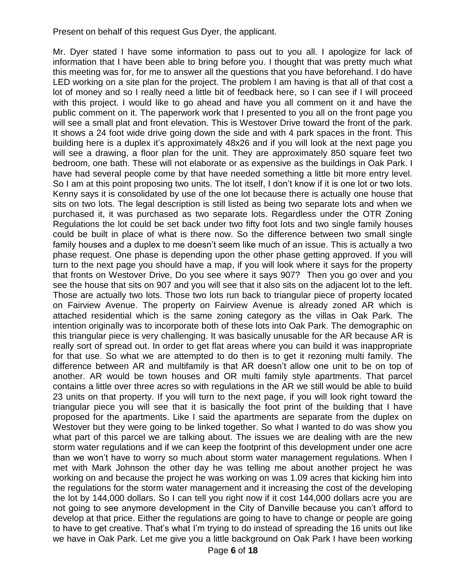Present on behalf of this request Gus Dyer, the applicant.

Mr. Dyer stated I have some information to pass out to you all. I apologize for lack of information that I have been able to bring before you. I thought that was pretty much what this meeting was for, for me to answer all the questions that you have beforehand. I do have LED working on a site plan for the project. The problem I am having is that all of that cost a lot of money and so I really need a little bit of feedback here, so I can see if I will proceed with this project. I would like to go ahead and have you all comment on it and have the public comment on it. The paperwork work that I presented to you all on the front page you will see a small plat and front elevation. This is Westover Drive toward the front of the park. It shows a 24 foot wide drive going down the side and with 4 park spaces in the front. This building here is a duplex it's approximately 48x26 and if you will look at the next page you will see a drawing, a floor plan for the unit. They are approximately 850 square feet two bedroom, one bath. These will not elaborate or as expensive as the buildings in Oak Park. I have had several people come by that have needed something a little bit more entry level. So I am at this point proposing two units. The lot itself, I don't know if it is one lot or two lots. Kenny says it is consolidated by use of the one lot because there is actually one house that sits on two lots. The legal description is still listed as being two separate lots and when we purchased it, it was purchased as two separate lots. Regardless under the OTR Zoning Regulations the lot could be set back under two fifty foot lots and two single family houses could be built in place of what is there now. So the difference between two small single family houses and a duplex to me doesn't seem like much of an issue. This is actually a two phase request. One phase is depending upon the other phase getting approved. If you will turn to the next page you should have a map, if you will look where it says for the property that fronts on Westover Drive, Do you see where it says 907? Then you go over and you see the house that sits on 907 and you will see that it also sits on the adjacent lot to the left. Those are actually two lots. Those two lots run back to triangular piece of property located on Fairview Avenue. The property on Fairview Avenue is already zoned AR which is attached residential which is the same zoning category as the villas in Oak Park. The intention originally was to incorporate both of these lots into Oak Park. The demographic on this triangular piece is very challenging. It was basically unusable for the AR because AR is really sort of spread out. In order to get flat areas where you can build it was inappropriate for that use. So what we are attempted to do then is to get it rezoning multi family. The difference between AR and multifamily is that AR doesn't allow one unit to be on top of another. AR would be town houses and OR multi family style apartments. That parcel contains a little over three acres so with regulations in the AR we still would be able to build 23 units on that property. If you will turn to the next page, if you will look right toward the triangular piece you will see that it is basically the foot print of the building that I have proposed for the apartments. Like I said the apartments are separate from the duplex on Westover but they were going to be linked together. So what I wanted to do was show you what part of this parcel we are talking about. The issues we are dealing with are the new storm water regulations and if we can keep the footprint of this development under one acre than we won't have to worry so much about storm water management regulations. When I met with Mark Johnson the other day he was telling me about another project he was working on and because the project he was working on was 1.09 acres that kicking him into the regulations for the storm water management and it increasing the cost of the developing the lot by 144,000 dollars. So I can tell you right now if it cost 144,000 dollars acre you are not going to see anymore development in the City of Danville because you can't afford to develop at that price. Either the regulations are going to have to change or people are going to have to get creative. That's what I'm trying to do instead of spreading the 16 units out like we have in Oak Park. Let me give you a little background on Oak Park I have been working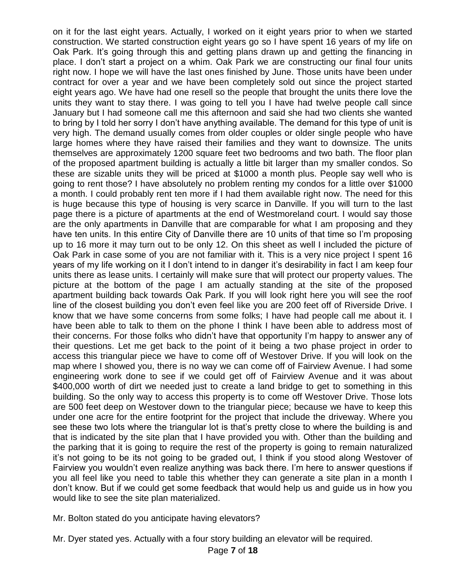on it for the last eight years. Actually, I worked on it eight years prior to when we started construction. We started construction eight years go so I have spent 16 years of my life on Oak Park. It's going through this and getting plans drawn up and getting the financing in place. I don't start a project on a whim. Oak Park we are constructing our final four units right now. I hope we will have the last ones finished by June. Those units have been under contract for over a year and we have been completely sold out since the project started eight years ago. We have had one resell so the people that brought the units there love the units they want to stay there. I was going to tell you I have had twelve people call since January but I had someone call me this afternoon and said she had two clients she wanted to bring by I told her sorry I don't have anything available. The demand for this type of unit is very high. The demand usually comes from older couples or older single people who have large homes where they have raised their families and they want to downsize. The units themselves are approximately 1200 square feet two bedrooms and two bath. The floor plan of the proposed apartment building is actually a little bit larger than my smaller condos. So these are sizable units they will be priced at \$1000 a month plus. People say well who is going to rent those? I have absolutely no problem renting my condos for a little over \$1000 a month. I could probably rent ten more if I had them available right now. The need for this is huge because this type of housing is very scarce in Danville. If you will turn to the last page there is a picture of apartments at the end of Westmoreland court. I would say those are the only apartments in Danville that are comparable for what I am proposing and they have ten units. In this entire City of Danville there are 10 units of that time so I'm proposing up to 16 more it may turn out to be only 12. On this sheet as well I included the picture of Oak Park in case some of you are not familiar with it. This is a very nice project I spent 16 years of my life working on it I don't intend to in danger it's desirability in fact I am keep four units there as lease units. I certainly will make sure that will protect our property values. The picture at the bottom of the page I am actually standing at the site of the proposed apartment building back towards Oak Park. If you will look right here you will see the roof line of the closest building you don't even feel like you are 200 feet off of Riverside Drive. I know that we have some concerns from some folks; I have had people call me about it. I have been able to talk to them on the phone I think I have been able to address most of their concerns. For those folks who didn't have that opportunity I'm happy to answer any of their questions. Let me get back to the point of it being a two phase project in order to access this triangular piece we have to come off of Westover Drive. If you will look on the map where I showed you, there is no way we can come off of Fairview Avenue. I had some engineering work done to see if we could get off of Fairview Avenue and it was about \$400,000 worth of dirt we needed just to create a land bridge to get to something in this building. So the only way to access this property is to come off Westover Drive. Those lots are 500 feet deep on Westover down to the triangular piece; because we have to keep this under one acre for the entire footprint for the project that include the driveway. Where you see these two lots where the triangular lot is that's pretty close to where the building is and that is indicated by the site plan that I have provided you with. Other than the building and the parking that it is going to require the rest of the property is going to remain naturalized it's not going to be its not going to be graded out, I think if you stood along Westover of Fairview you wouldn't even realize anything was back there. I'm here to answer questions if you all feel like you need to table this whether they can generate a site plan in a month I don't know. But if we could get some feedback that would help us and guide us in how you would like to see the site plan materialized.

Mr. Bolton stated do you anticipate having elevators?

Mr. Dyer stated yes. Actually with a four story building an elevator will be required.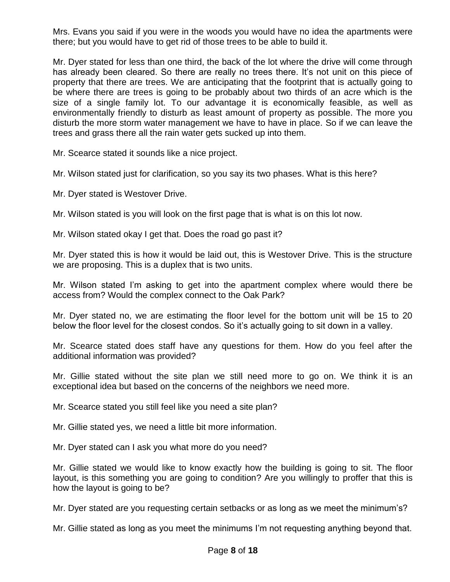Mrs. Evans you said if you were in the woods you would have no idea the apartments were there; but you would have to get rid of those trees to be able to build it.

Mr. Dyer stated for less than one third, the back of the lot where the drive will come through has already been cleared. So there are really no trees there. It's not unit on this piece of property that there are trees. We are anticipating that the footprint that is actually going to be where there are trees is going to be probably about two thirds of an acre which is the size of a single family lot. To our advantage it is economically feasible, as well as environmentally friendly to disturb as least amount of property as possible. The more you disturb the more storm water management we have to have in place. So if we can leave the trees and grass there all the rain water gets sucked up into them.

Mr. Scearce stated it sounds like a nice project.

Mr. Wilson stated just for clarification, so you say its two phases. What is this here?

Mr. Dyer stated is Westover Drive.

Mr. Wilson stated is you will look on the first page that is what is on this lot now.

Mr. Wilson stated okay I get that. Does the road go past it?

Mr. Dyer stated this is how it would be laid out, this is Westover Drive. This is the structure we are proposing. This is a duplex that is two units.

Mr. Wilson stated I'm asking to get into the apartment complex where would there be access from? Would the complex connect to the Oak Park?

Mr. Dyer stated no, we are estimating the floor level for the bottom unit will be 15 to 20 below the floor level for the closest condos. So it's actually going to sit down in a valley.

Mr. Scearce stated does staff have any questions for them. How do you feel after the additional information was provided?

Mr. Gillie stated without the site plan we still need more to go on. We think it is an exceptional idea but based on the concerns of the neighbors we need more.

Mr. Scearce stated you still feel like you need a site plan?

Mr. Gillie stated yes, we need a little bit more information.

Mr. Dyer stated can I ask you what more do you need?

Mr. Gillie stated we would like to know exactly how the building is going to sit. The floor layout, is this something you are going to condition? Are you willingly to proffer that this is how the layout is going to be?

Mr. Dyer stated are you requesting certain setbacks or as long as we meet the minimum's?

Mr. Gillie stated as long as you meet the minimums I'm not requesting anything beyond that.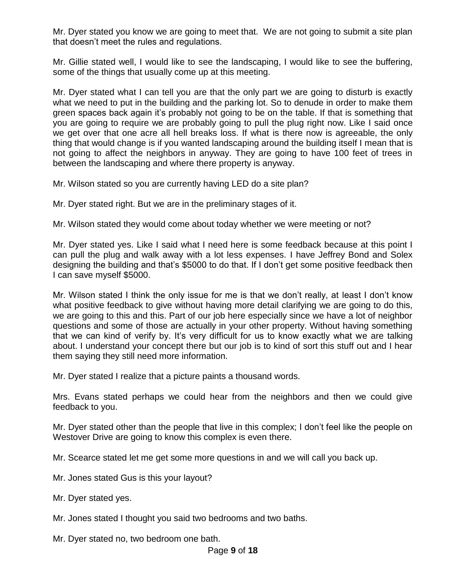Mr. Dyer stated you know we are going to meet that. We are not going to submit a site plan that doesn't meet the rules and regulations.

Mr. Gillie stated well, I would like to see the landscaping, I would like to see the buffering, some of the things that usually come up at this meeting.

Mr. Dyer stated what I can tell you are that the only part we are going to disturb is exactly what we need to put in the building and the parking lot. So to denude in order to make them green spaces back again it's probably not going to be on the table. If that is something that you are going to require we are probably going to pull the plug right now. Like I said once we get over that one acre all hell breaks loss. If what is there now is agreeable, the only thing that would change is if you wanted landscaping around the building itself I mean that is not going to affect the neighbors in anyway. They are going to have 100 feet of trees in between the landscaping and where there property is anyway.

Mr. Wilson stated so you are currently having LED do a site plan?

Mr. Dyer stated right. But we are in the preliminary stages of it.

Mr. Wilson stated they would come about today whether we were meeting or not?

Mr. Dyer stated yes. Like I said what I need here is some feedback because at this point I can pull the plug and walk away with a lot less expenses. I have Jeffrey Bond and Solex designing the building and that's \$5000 to do that. If I don't get some positive feedback then I can save myself \$5000.

Mr. Wilson stated I think the only issue for me is that we don't really, at least I don't know what positive feedback to give without having more detail clarifying we are going to do this, we are going to this and this. Part of our job here especially since we have a lot of neighbor questions and some of those are actually in your other property. Without having something that we can kind of verify by. It's very difficult for us to know exactly what we are talking about. I understand your concept there but our job is to kind of sort this stuff out and I hear them saying they still need more information.

Mr. Dyer stated I realize that a picture paints a thousand words.

Mrs. Evans stated perhaps we could hear from the neighbors and then we could give feedback to you.

Mr. Dyer stated other than the people that live in this complex; I don't feel like the people on Westover Drive are going to know this complex is even there.

Mr. Scearce stated let me get some more questions in and we will call you back up.

Mr. Jones stated Gus is this your layout?

- Mr. Dyer stated yes.
- Mr. Jones stated I thought you said two bedrooms and two baths.

Mr. Dyer stated no, two bedroom one bath.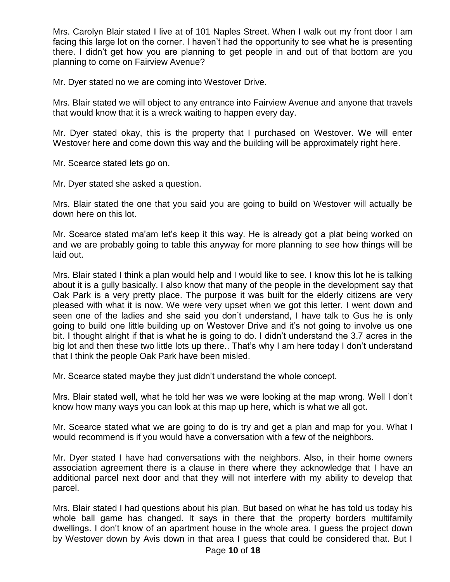Mrs. Carolyn Blair stated I live at of 101 Naples Street. When I walk out my front door I am facing this large lot on the corner. I haven't had the opportunity to see what he is presenting there. I didn't get how you are planning to get people in and out of that bottom are you planning to come on Fairview Avenue?

Mr. Dyer stated no we are coming into Westover Drive.

Mrs. Blair stated we will object to any entrance into Fairview Avenue and anyone that travels that would know that it is a wreck waiting to happen every day.

Mr. Dyer stated okay, this is the property that I purchased on Westover. We will enter Westover here and come down this way and the building will be approximately right here.

Mr. Scearce stated lets go on.

Mr. Dyer stated she asked a question.

Mrs. Blair stated the one that you said you are going to build on Westover will actually be down here on this lot.

Mr. Scearce stated ma'am let's keep it this way. He is already got a plat being worked on and we are probably going to table this anyway for more planning to see how things will be laid out.

Mrs. Blair stated I think a plan would help and I would like to see. I know this lot he is talking about it is a gully basically. I also know that many of the people in the development say that Oak Park is a very pretty place. The purpose it was built for the elderly citizens are very pleased with what it is now. We were very upset when we got this letter. I went down and seen one of the ladies and she said you don't understand, I have talk to Gus he is only going to build one little building up on Westover Drive and it's not going to involve us one bit. I thought alright if that is what he is going to do. I didn't understand the 3.7 acres in the big lot and then these two little lots up there.. That's why I am here today I don't understand that I think the people Oak Park have been misled.

Mr. Scearce stated maybe they just didn't understand the whole concept.

Mrs. Blair stated well, what he told her was we were looking at the map wrong. Well I don't know how many ways you can look at this map up here, which is what we all got.

Mr. Scearce stated what we are going to do is try and get a plan and map for you. What I would recommend is if you would have a conversation with a few of the neighbors.

Mr. Dyer stated I have had conversations with the neighbors. Also, in their home owners association agreement there is a clause in there where they acknowledge that I have an additional parcel next door and that they will not interfere with my ability to develop that parcel.

Mrs. Blair stated I had questions about his plan. But based on what he has told us today his whole ball game has changed. It says in there that the property borders multifamily dwellings. I don't know of an apartment house in the whole area. I guess the project down by Westover down by Avis down in that area I guess that could be considered that. But I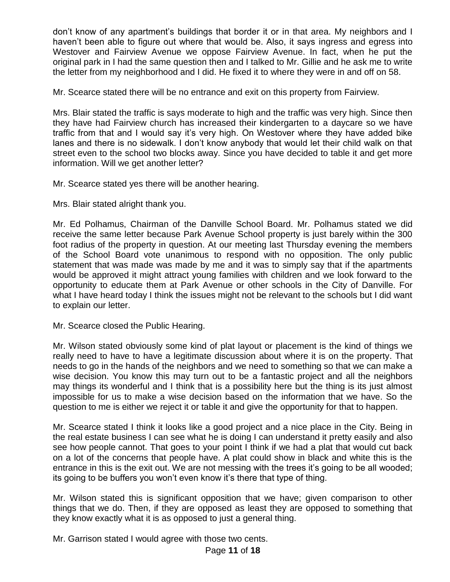don't know of any apartment's buildings that border it or in that area. My neighbors and I haven't been able to figure out where that would be. Also, it says ingress and egress into Westover and Fairview Avenue we oppose Fairview Avenue. In fact, when he put the original park in I had the same question then and I talked to Mr. Gillie and he ask me to write the letter from my neighborhood and I did. He fixed it to where they were in and off on 58.

Mr. Scearce stated there will be no entrance and exit on this property from Fairview.

Mrs. Blair stated the traffic is says moderate to high and the traffic was very high. Since then they have had Fairview church has increased their kindergarten to a daycare so we have traffic from that and I would say it's very high. On Westover where they have added bike lanes and there is no sidewalk. I don't know anybody that would let their child walk on that street even to the school two blocks away. Since you have decided to table it and get more information. Will we get another letter?

Mr. Scearce stated yes there will be another hearing.

Mrs. Blair stated alright thank you.

Mr. Ed Polhamus, Chairman of the Danville School Board. Mr. Polhamus stated we did receive the same letter because Park Avenue School property is just barely within the 300 foot radius of the property in question. At our meeting last Thursday evening the members of the School Board vote unanimous to respond with no opposition. The only public statement that was made was made by me and it was to simply say that if the apartments would be approved it might attract young families with children and we look forward to the opportunity to educate them at Park Avenue or other schools in the City of Danville. For what I have heard today I think the issues might not be relevant to the schools but I did want to explain our letter.

Mr. Scearce closed the Public Hearing.

Mr. Wilson stated obviously some kind of plat layout or placement is the kind of things we really need to have to have a legitimate discussion about where it is on the property. That needs to go in the hands of the neighbors and we need to something so that we can make a wise decision. You know this may turn out to be a fantastic project and all the neighbors may things its wonderful and I think that is a possibility here but the thing is its just almost impossible for us to make a wise decision based on the information that we have. So the question to me is either we reject it or table it and give the opportunity for that to happen.

Mr. Scearce stated I think it looks like a good project and a nice place in the City. Being in the real estate business I can see what he is doing I can understand it pretty easily and also see how people cannot. That goes to your point I think if we had a plat that would cut back on a lot of the concerns that people have. A plat could show in black and white this is the entrance in this is the exit out. We are not messing with the trees it's going to be all wooded; its going to be buffers you won't even know it's there that type of thing.

Mr. Wilson stated this is significant opposition that we have; given comparison to other things that we do. Then, if they are opposed as least they are opposed to something that they know exactly what it is as opposed to just a general thing.

Mr. Garrison stated I would agree with those two cents.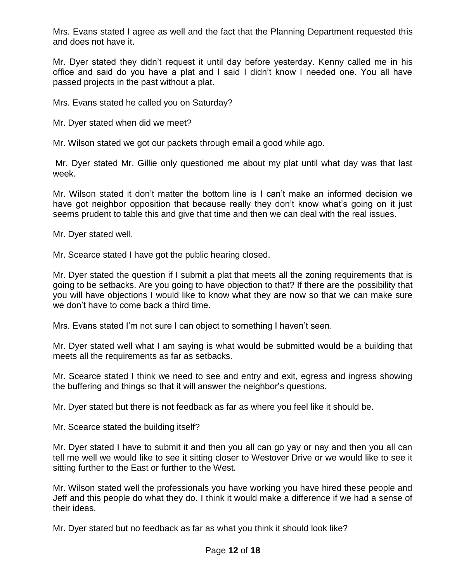Mrs. Evans stated I agree as well and the fact that the Planning Department requested this and does not have it.

Mr. Dyer stated they didn't request it until day before yesterday. Kenny called me in his office and said do you have a plat and I said I didn't know I needed one. You all have passed projects in the past without a plat.

Mrs. Evans stated he called you on Saturday?

Mr. Dyer stated when did we meet?

Mr. Wilson stated we got our packets through email a good while ago.

Mr. Dyer stated Mr. Gillie only questioned me about my plat until what day was that last week.

Mr. Wilson stated it don't matter the bottom line is I can't make an informed decision we have got neighbor opposition that because really they don't know what's going on it just seems prudent to table this and give that time and then we can deal with the real issues.

Mr. Dyer stated well.

Mr. Scearce stated I have got the public hearing closed.

Mr. Dyer stated the question if I submit a plat that meets all the zoning requirements that is going to be setbacks. Are you going to have objection to that? If there are the possibility that you will have objections I would like to know what they are now so that we can make sure we don't have to come back a third time.

Mrs. Evans stated I'm not sure I can object to something I haven't seen.

Mr. Dyer stated well what I am saying is what would be submitted would be a building that meets all the requirements as far as setbacks.

Mr. Scearce stated I think we need to see and entry and exit, egress and ingress showing the buffering and things so that it will answer the neighbor's questions.

Mr. Dyer stated but there is not feedback as far as where you feel like it should be.

Mr. Scearce stated the building itself?

Mr. Dyer stated I have to submit it and then you all can go yay or nay and then you all can tell me well we would like to see it sitting closer to Westover Drive or we would like to see it sitting further to the East or further to the West.

Mr. Wilson stated well the professionals you have working you have hired these people and Jeff and this people do what they do. I think it would make a difference if we had a sense of their ideas.

Mr. Dyer stated but no feedback as far as what you think it should look like?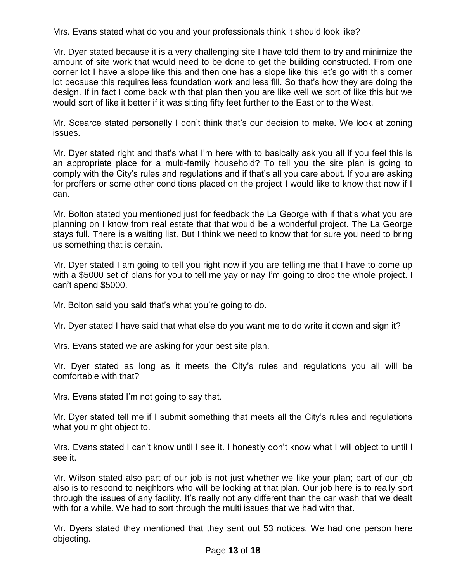Mrs. Evans stated what do you and your professionals think it should look like?

Mr. Dyer stated because it is a very challenging site I have told them to try and minimize the amount of site work that would need to be done to get the building constructed. From one corner lot I have a slope like this and then one has a slope like this let's go with this corner lot because this requires less foundation work and less fill. So that's how they are doing the design. If in fact I come back with that plan then you are like well we sort of like this but we would sort of like it better if it was sitting fifty feet further to the East or to the West.

Mr. Scearce stated personally I don't think that's our decision to make. We look at zoning issues.

Mr. Dyer stated right and that's what I'm here with to basically ask you all if you feel this is an appropriate place for a multi-family household? To tell you the site plan is going to comply with the City's rules and regulations and if that's all you care about. If you are asking for proffers or some other conditions placed on the project I would like to know that now if I can.

Mr. Bolton stated you mentioned just for feedback the La George with if that's what you are planning on I know from real estate that that would be a wonderful project. The La George stays full. There is a waiting list. But I think we need to know that for sure you need to bring us something that is certain.

Mr. Dyer stated I am going to tell you right now if you are telling me that I have to come up with a \$5000 set of plans for you to tell me yay or nay I'm going to drop the whole project. I can't spend \$5000.

Mr. Bolton said you said that's what you're going to do.

Mr. Dyer stated I have said that what else do you want me to do write it down and sign it?

Mrs. Evans stated we are asking for your best site plan.

Mr. Dyer stated as long as it meets the City's rules and regulations you all will be comfortable with that?

Mrs. Evans stated I'm not going to say that.

Mr. Dyer stated tell me if I submit something that meets all the City's rules and regulations what you might object to.

Mrs. Evans stated I can't know until I see it. I honestly don't know what I will object to until I see it.

Mr. Wilson stated also part of our job is not just whether we like your plan; part of our job also is to respond to neighbors who will be looking at that plan. Our job here is to really sort through the issues of any facility. It's really not any different than the car wash that we dealt with for a while. We had to sort through the multi issues that we had with that.

Mr. Dyers stated they mentioned that they sent out 53 notices. We had one person here objecting.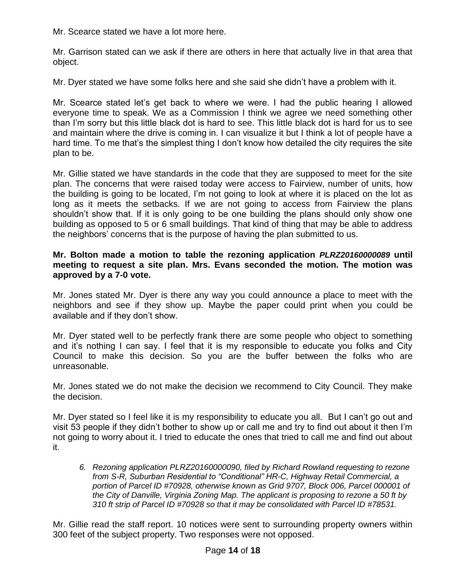Mr. Scearce stated we have a lot more here.

Mr. Garrison stated can we ask if there are others in here that actually live in that area that object.

Mr. Dyer stated we have some folks here and she said she didn't have a problem with it.

Mr. Scearce stated let's get back to where we were. I had the public hearing I allowed everyone time to speak. We as a Commission I think we agree we need something other than I'm sorry but this little black dot is hard to see. This little black dot is hard for us to see and maintain where the drive is coming in. I can visualize it but I think a lot of people have a hard time. To me that's the simplest thing I don't know how detailed the city requires the site plan to be.

Mr. Gillie stated we have standards in the code that they are supposed to meet for the site plan. The concerns that were raised today were access to Fairview, number of units, how the building is going to be located, I'm not going to look at where it is placed on the lot as long as it meets the setbacks. If we are not going to access from Fairview the plans shouldn't show that. If it is only going to be one building the plans should only show one building as opposed to 5 or 6 small buildings. That kind of thing that may be able to address the neighbors' concerns that is the purpose of having the plan submitted to us.

### **Mr. Bolton made a motion to table the rezoning application** *PLRZ20160000089* **until meeting to request a site plan. Mrs. Evans seconded the motion. The motion was approved by a 7-0 vote.**

Mr. Jones stated Mr. Dyer is there any way you could announce a place to meet with the neighbors and see if they show up. Maybe the paper could print when you could be available and if they don't show.

Mr. Dyer stated well to be perfectly frank there are some people who object to something and it's nothing I can say. I feel that it is my responsible to educate you folks and City Council to make this decision. So you are the buffer between the folks who are unreasonable.

Mr. Jones stated we do not make the decision we recommend to City Council. They make the decision.

Mr. Dyer stated so I feel like it is my responsibility to educate you all. But I can't go out and visit 53 people if they didn't bother to show up or call me and try to find out about it then I'm not going to worry about it. I tried to educate the ones that tried to call me and find out about it.

*6. Rezoning application PLRZ20160000090, filed by Richard Rowland requesting to rezone from S-R, Suburban Residential to "Conditional" HR-C, Highway Retail Commercial, a portion of Parcel ID #70928, otherwise known as Grid 9707, Block 006, Parcel 000001 of the City of Danville, Virginia Zoning Map. The applicant is proposing to rezone a 50 ft by 310 ft strip of Parcel ID #70928 so that it may be consolidated with Parcel ID #78531.*

Mr. Gillie read the staff report. 10 notices were sent to surrounding property owners within 300 feet of the subject property. Two responses were not opposed.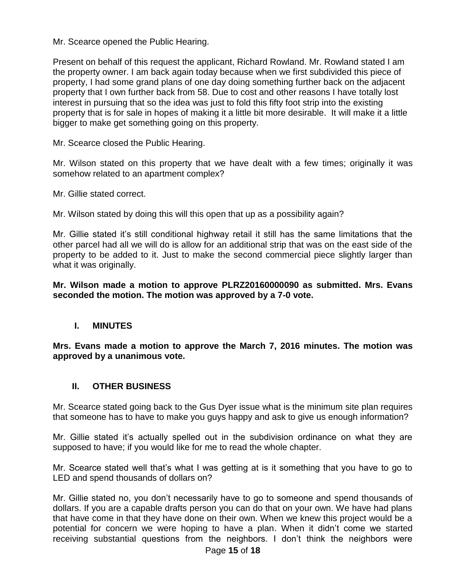Mr. Scearce opened the Public Hearing.

Present on behalf of this request the applicant, Richard Rowland. Mr. Rowland stated I am the property owner. I am back again today because when we first subdivided this piece of property, I had some grand plans of one day doing something further back on the adjacent property that I own further back from 58. Due to cost and other reasons I have totally lost interest in pursuing that so the idea was just to fold this fifty foot strip into the existing property that is for sale in hopes of making it a little bit more desirable. It will make it a little bigger to make get something going on this property.

Mr. Scearce closed the Public Hearing.

Mr. Wilson stated on this property that we have dealt with a few times; originally it was somehow related to an apartment complex?

Mr. Gillie stated correct.

Mr. Wilson stated by doing this will this open that up as a possibility again?

Mr. Gillie stated it's still conditional highway retail it still has the same limitations that the other parcel had all we will do is allow for an additional strip that was on the east side of the property to be added to it. Just to make the second commercial piece slightly larger than what it was originally.

**Mr. Wilson made a motion to approve PLRZ20160000090 as submitted. Mrs. Evans seconded the motion. The motion was approved by a 7-0 vote.**

# **I. MINUTES**

**Mrs. Evans made a motion to approve the March 7, 2016 minutes. The motion was approved by a unanimous vote.**

# **II. OTHER BUSINESS**

Mr. Scearce stated going back to the Gus Dyer issue what is the minimum site plan requires that someone has to have to make you guys happy and ask to give us enough information?

Mr. Gillie stated it's actually spelled out in the subdivision ordinance on what they are supposed to have; if you would like for me to read the whole chapter.

Mr. Scearce stated well that's what I was getting at is it something that you have to go to LED and spend thousands of dollars on?

Mr. Gillie stated no, you don't necessarily have to go to someone and spend thousands of dollars. If you are a capable drafts person you can do that on your own. We have had plans that have come in that they have done on their own. When we knew this project would be a potential for concern we were hoping to have a plan. When it didn't come we started receiving substantial questions from the neighbors. I don't think the neighbors were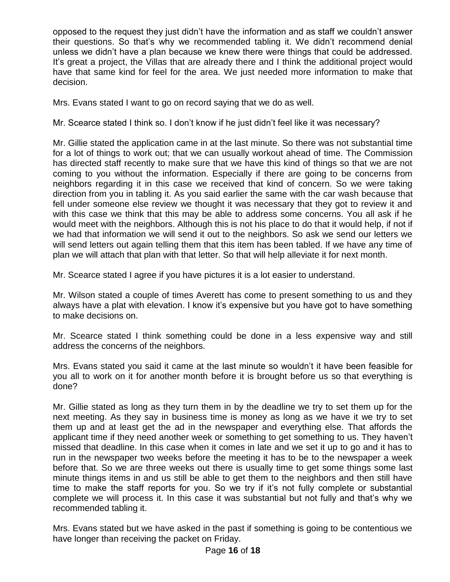opposed to the request they just didn't have the information and as staff we couldn't answer their questions. So that's why we recommended tabling it. We didn't recommend denial unless we didn't have a plan because we knew there were things that could be addressed. It's great a project, the Villas that are already there and I think the additional project would have that same kind for feel for the area. We just needed more information to make that decision.

Mrs. Evans stated I want to go on record saying that we do as well.

Mr. Scearce stated I think so. I don't know if he just didn't feel like it was necessary?

Mr. Gillie stated the application came in at the last minute. So there was not substantial time for a lot of things to work out; that we can usually workout ahead of time. The Commission has directed staff recently to make sure that we have this kind of things so that we are not coming to you without the information. Especially if there are going to be concerns from neighbors regarding it in this case we received that kind of concern. So we were taking direction from you in tabling it. As you said earlier the same with the car wash because that fell under someone else review we thought it was necessary that they got to review it and with this case we think that this may be able to address some concerns. You all ask if he would meet with the neighbors. Although this is not his place to do that it would help, if not if we had that information we will send it out to the neighbors. So ask we send our letters we will send letters out again telling them that this item has been tabled. If we have any time of plan we will attach that plan with that letter. So that will help alleviate it for next month.

Mr. Scearce stated I agree if you have pictures it is a lot easier to understand.

Mr. Wilson stated a couple of times Averett has come to present something to us and they always have a plat with elevation. I know it's expensive but you have got to have something to make decisions on.

Mr. Scearce stated I think something could be done in a less expensive way and still address the concerns of the neighbors.

Mrs. Evans stated you said it came at the last minute so wouldn't it have been feasible for you all to work on it for another month before it is brought before us so that everything is done?

Mr. Gillie stated as long as they turn them in by the deadline we try to set them up for the next meeting. As they say in business time is money as long as we have it we try to set them up and at least get the ad in the newspaper and everything else. That affords the applicant time if they need another week or something to get something to us. They haven't missed that deadline. In this case when it comes in late and we set it up to go and it has to run in the newspaper two weeks before the meeting it has to be to the newspaper a week before that. So we are three weeks out there is usually time to get some things some last minute things items in and us still be able to get them to the neighbors and then still have time to make the staff reports for you. So we try if it's not fully complete or substantial complete we will process it. In this case it was substantial but not fully and that's why we recommended tabling it.

Mrs. Evans stated but we have asked in the past if something is going to be contentious we have longer than receiving the packet on Friday.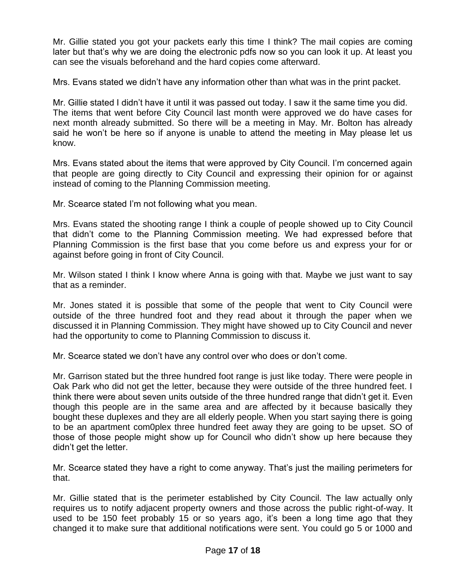Mr. Gillie stated you got your packets early this time I think? The mail copies are coming later but that's why we are doing the electronic pdfs now so you can look it up. At least you can see the visuals beforehand and the hard copies come afterward.

Mrs. Evans stated we didn't have any information other than what was in the print packet.

Mr. Gillie stated I didn't have it until it was passed out today. I saw it the same time you did. The items that went before City Council last month were approved we do have cases for next month already submitted. So there will be a meeting in May. Mr. Bolton has already said he won't be here so if anyone is unable to attend the meeting in May please let us know.

Mrs. Evans stated about the items that were approved by City Council. I'm concerned again that people are going directly to City Council and expressing their opinion for or against instead of coming to the Planning Commission meeting.

Mr. Scearce stated I'm not following what you mean.

Mrs. Evans stated the shooting range I think a couple of people showed up to City Council that didn't come to the Planning Commission meeting. We had expressed before that Planning Commission is the first base that you come before us and express your for or against before going in front of City Council.

Mr. Wilson stated I think I know where Anna is going with that. Maybe we just want to say that as a reminder.

Mr. Jones stated it is possible that some of the people that went to City Council were outside of the three hundred foot and they read about it through the paper when we discussed it in Planning Commission. They might have showed up to City Council and never had the opportunity to come to Planning Commission to discuss it.

Mr. Scearce stated we don't have any control over who does or don't come.

Mr. Garrison stated but the three hundred foot range is just like today. There were people in Oak Park who did not get the letter, because they were outside of the three hundred feet. I think there were about seven units outside of the three hundred range that didn't get it. Even though this people are in the same area and are affected by it because basically they bought these duplexes and they are all elderly people. When you start saying there is going to be an apartment com0plex three hundred feet away they are going to be upset. SO of those of those people might show up for Council who didn't show up here because they didn't get the letter.

Mr. Scearce stated they have a right to come anyway. That's just the mailing perimeters for that.

Mr. Gillie stated that is the perimeter established by City Council. The law actually only requires us to notify adjacent property owners and those across the public right-of-way. It used to be 150 feet probably 15 or so years ago, it's been a long time ago that they changed it to make sure that additional notifications were sent. You could go 5 or 1000 and